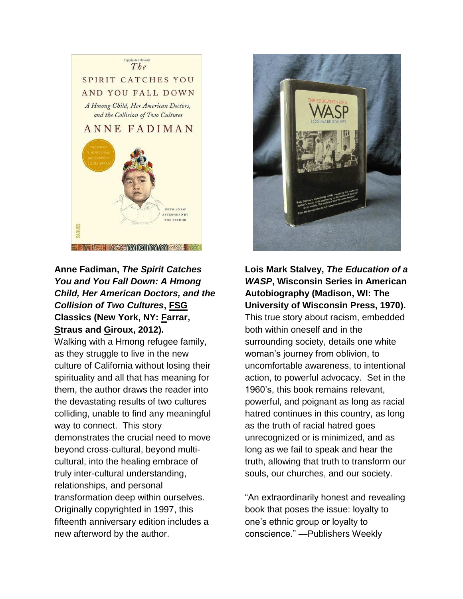

## **Anne Fadiman,** *The Spirit Catches You and You Fall Down: A Hmong Child, Her American Doctors, and the Collision of Two Cultures***, FSG Classics (New York, NY: Farrar, Straus and Giroux, 2012).**

Walking with a Hmong refugee family, as they struggle to live in the new culture of California without losing their spirituality and all that has meaning for them, the author draws the reader into the devastating results of two cultures colliding, unable to find any meaningful way to connect. This story demonstrates the crucial need to move beyond cross-cultural, beyond multicultural, into the healing embrace of truly inter-cultural understanding, relationships, and personal transformation deep within ourselves. Originally copyrighted in 1997, this fifteenth anniversary edition includes a new afterword by the author.



**Lois Mark Stalvey,** *The Education of a WASP***, Wisconsin Series in American Autobiography (Madison, WI: The University of Wisconsin Press, 1970).** This true story about racism, embedded both within oneself and in the surrounding society, details one white woman's journey from oblivion, to uncomfortable awareness, to intentional action, to powerful advocacy. Set in the 1960's, this book remains relevant, powerful, and poignant as long as racial hatred continues in this country, as long as the truth of racial hatred goes unrecognized or is minimized, and as long as we fail to speak and hear the truth, allowing that truth to transform our souls, our churches, and our society.

"An extraordinarily honest and revealing book that poses the issue: loyalty to one's ethnic group or loyalty to conscience." —Publishers Weekly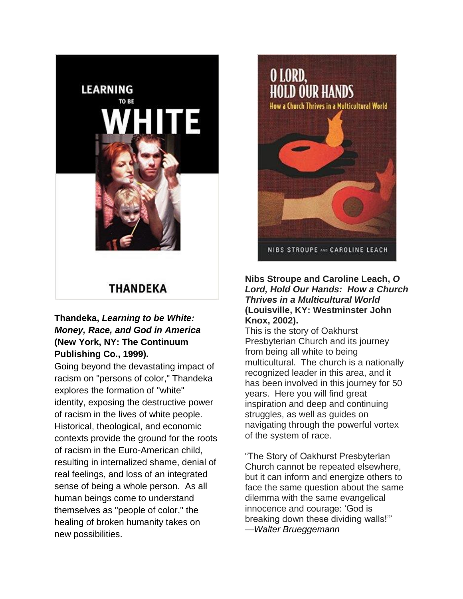

# THANDEKA

## **Thandeka,** *Learning to be White: Money, Race, and God in America* **(New York, NY: The Continuum Publishing Co., 1999).**

Going beyond the devastating impact of racism on "persons of color," Thandeka explores the formation of "white" identity, exposing the destructive power of racism in the lives of white people. Historical, theological, and economic contexts provide the ground for the roots of racism in the Euro-American child, resulting in internalized shame, denial of real feelings, and loss of an integrated sense of being a whole person. As all human beings come to understand themselves as "people of color," the healing of broken humanity takes on new possibilities.



#### **Nibs Stroupe and Caroline Leach,** *O Lord, Hold Our Hands: How a Church Thrives in a Multicultural World*  **(Louisville, KY: Westminster John Knox, 2002).**

This is the story of Oakhurst Presbyterian Church and its journey from being all white to being multicultural. The church is a nationally recognized leader in this area, and it has been involved in this journey for 50 years. Here you will find great inspiration and deep and continuing struggles, as well as guides on navigating through the powerful vortex of the system of race.

"The Story of Oakhurst Presbyterian Church cannot be repeated elsewhere, but it can inform and energize others to face the same question about the same dilemma with the same evangelical innocence and courage: 'God is breaking down these dividing walls!'" —*Walter Brueggemann*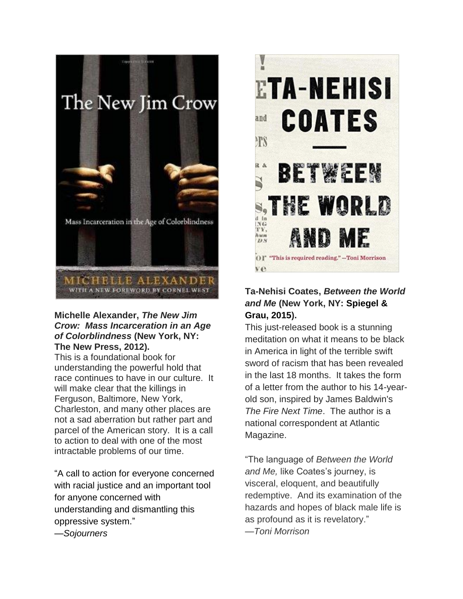

#### **Michelle Alexander,** *The New Jim Crow: Mass Incarceration in an Age of Colorblindness* **(New York, NY: The New Press, 2012).**

This is a foundational book for understanding the powerful hold that race continues to have in our culture. It will make clear that the killings in Ferguson, Baltimore, New York, Charleston, and many other places are not a sad aberration but rather part and parcel of the American story. It is a call to action to deal with one of the most intractable problems of our time.

"A call to action for everyone concerned with racial justice and an important tool for anyone concerned with understanding and dismantling this oppressive system." —*Sojourners*



## **Ta-Nehisi Coates,** *Between the World and Me* **(New York, NY: Spiegel & Grau, 2015).**

This just-released book is a stunning meditation on what it means to be black in America in light of the terrible swift sword of racism that has been revealed in the last 18 months. It takes the form of a letter from the author to his 14-yearold son, inspired by James Baldwin's *The Fire Next Time*. The author is a national correspondent at Atlantic Magazine.

"The language of *Between the World and Me,* like Coates's journey, is visceral, eloquent, and beautifully redemptive. And its examination of the hazards and hopes of black male life is as profound as it is revelatory." —*Toni Morrison*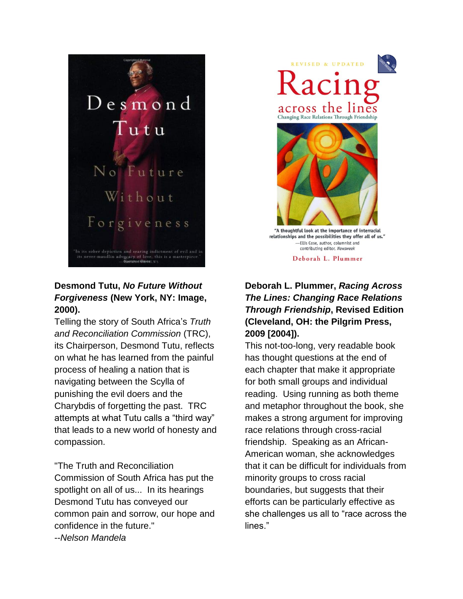

## **Desmond Tutu,** *No Future Without Forgiveness* **(New York, NY: Image, 2000).**

Telling the story of South Africa's *Truth and Reconciliation Commission* (TRC), its Chairperson, Desmond Tutu, reflects on what he has learned from the painful process of healing a nation that is navigating between the Scylla of punishing the evil doers and the Charybdis of forgetting the past. TRC attempts at what Tutu calls a "third way" that leads to a new world of honesty and compassion.

"The Truth and Reconciliation Commission of South Africa has put the spotlight on all of us... In its hearings Desmond Tutu has conveyed our common pain and sorrow, our hope and confidence in the future." --*Nelson Mandela*

**REVISED & UPDATED**  $\sqrt{2}$ across the lines Changing Race Relations Through Friendship "A thoughtful look at the importance of interracial relationships and the possibilities they offer all of us." -Ellis Cose, author, columnist and

> contributing editor, Newsweek Deborah L. Plummer

## **Deborah L. Plummer,** *Racing Across The Lines: Changing Race Relations Through Friendship***, Revised Edition (Cleveland, OH: the Pilgrim Press, 2009 [2004]).**

This not-too-long, very readable book has thought questions at the end of each chapter that make it appropriate for both small groups and individual reading. Using running as both theme and metaphor throughout the book, she makes a strong argument for improving race relations through cross-racial friendship. Speaking as an African-American woman, she acknowledges that it can be difficult for individuals from minority groups to cross racial boundaries, but suggests that their efforts can be particularly effective as she challenges us all to "race across the lines."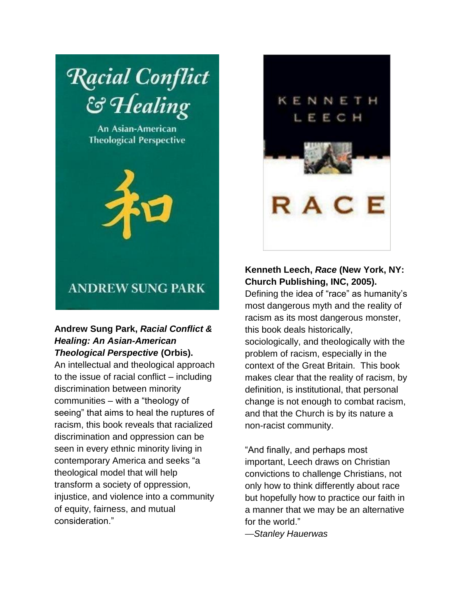

An Asian-American **Theological Perspective** 



# KENNETH LEEC R A C

## **ANDREW SUNG PARK**

## **Andrew Sung Park,** *Racial Conflict & Healing: An Asian-American Theological Perspective* **(Orbis).**

An intellectual and theological approach to the issue of racial conflict – including discrimination between minority communities – with a "theology of seeing" that aims to heal the ruptures of racism, this book reveals that racialized discrimination and oppression can be seen in every ethnic minority living in contemporary America and seeks "a theological model that will help transform a society of oppression, injustice, and violence into a community of equity, fairness, and mutual consideration."

## **Kenneth Leech,** *Race* **(New York, NY: Church Publishing, INC, 2005).**

Defining the idea of "race" as humanity's most dangerous myth and the reality of racism as its most dangerous monster, this book deals historically, sociologically, and theologically with the problem of racism, especially in the context of the Great Britain. This book makes clear that the reality of racism, by definition, is institutional, that personal change is not enough to combat racism, and that the Church is by its nature a non-racist community.

"And finally, and perhaps most important, Leech draws on Christian convictions to challenge Christians, not only how to think differently about race but hopefully how to practice our faith in a manner that we may be an alternative for the world."

—*Stanley Hauerwas*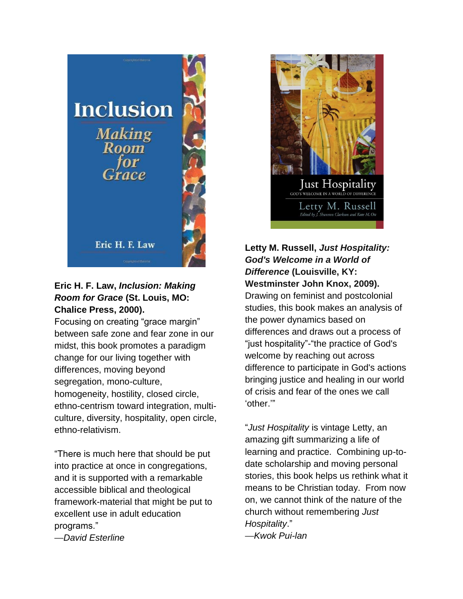

## **Eric H. F. Law,** *Inclusion: Making Room for Grace* **(St. Louis, MO: Chalice Press, 2000).**

Focusing on creating "grace margin" between safe zone and fear zone in our midst, this book promotes a paradigm change for our living together with differences, moving beyond segregation, mono-culture, homogeneity, hostility, closed circle, ethno-centrism toward integration, multiculture, diversity, hospitality, open circle, ethno-relativism.

"There is much here that should be put into practice at once in congregations, and it is supported with a remarkable accessible biblical and theological framework-material that might be put to excellent use in adult education programs."

—*David Esterline*



## **Letty M. Russell,** *Just Hospitality: God's Welcome in a World of Difference* **(Louisville, KY: Westminster John Knox, 2009).**

Drawing on feminist and postcolonial studies, this book makes an analysis of the power dynamics based on differences and draws out a process of "just hospitality"-"the practice of God's welcome by reaching out across difference to participate in God's actions bringing justice and healing in our world of crisis and fear of the ones we call 'other.'"

"*Just Hospitality* is vintage Letty, an amazing gift summarizing a life of learning and practice. Combining up-todate scholarship and moving personal stories, this book helps us rethink what it means to be Christian today. From now on, we cannot think of the nature of the church without remembering *Just Hospitality*." —*Kwok Pui-lan*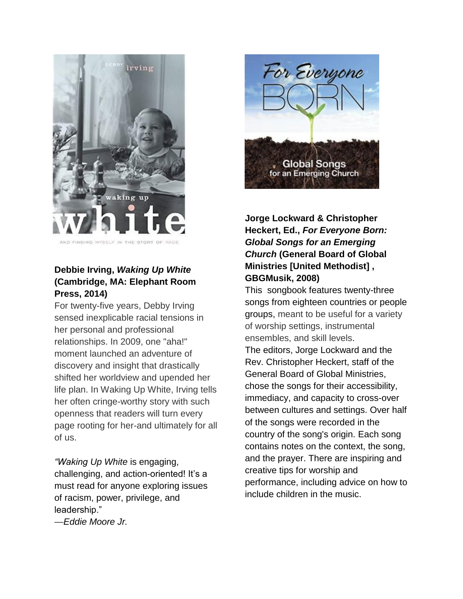

AND FINDING MYSELF IN THE STORY OF

## **Debbie Irving,** *Waking Up White*  **(Cambridge, MA: Elephant Room Press, 2014)**

For twenty-five years, Debby Irving sensed inexplicable racial tensions in her personal and professional relationships. In 2009, one "aha!" moment launched an adventure of discovery and insight that drastically shifted her worldview and upended her life plan. In Waking Up White, Irving tells her often cringe-worthy story with such openness that readers will turn every page rooting for her-and ultimately for all of us.

*"Waking Up White* is engaging, challenging, and action-oriented! It's a must read for anyone exploring issues of racism, power, privilege, and leadership."

—*Eddie Moore Jr.*



## **Jorge Lockward & Christopher Heckert, Ed.,** *For Everyone Born: Global Songs for an Emerging Church* **(General Board of Global Ministries [United Methodist] , GBGMusik, 2008)**

This songbook features twenty-three songs from eighteen countries or people groups, meant to be useful for a variety of worship settings, instrumental ensembles, and skill levels. The editors, Jorge Lockward and the Rev. Christopher Heckert, staff of the General Board of Global Ministries, chose the songs for their accessibility, immediacy, and capacity to cross-over between cultures and settings. Over half of the songs were recorded in the country of the song's origin. Each song contains notes on the context, the song, and the prayer. There are inspiring and creative tips for worship and performance, including advice on how to include children in the music.